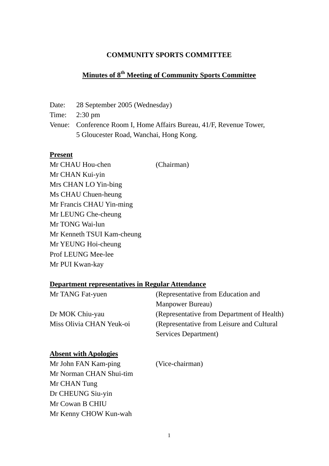### **COMMUNITY SPORTS COMMITTEE**

# **Minutes of 8th Meeting of Community Sports Committee**

Date: 28 September 2005 (Wednesday)

Time: 2:30 pm

Venue: Conference Room I, Home Affairs Bureau, 41/F, Revenue Tower, 5 Gloucester Road, Wanchai, Hong Kong.

#### **Present**

Mr CHAU Hou-chen (Chairman) Mr CHAN Kui-yin Mrs CHAN LO Yin-bing Ms CHAU Chuen-heung Mr Francis CHAU Yin-ming Mr LEUNG Che-cheung Mr TONG Wai-lun Mr Kenneth TSUI Kam-cheung Mr YEUNG Hoi-cheung Prof LEUNG Mee-lee Mr PUI Kwan-kay

#### **Department representatives in Regular Attendance**

| Mr TANG Fat-yuen         | (Representative from Education and         |
|--------------------------|--------------------------------------------|
|                          | <b>Manpower Bureau</b> )                   |
| Dr MOK Chiu-yau          | (Representative from Department of Health) |
| Miss Olivia CHAN Yeuk-oi | (Representative from Leisure and Cultural) |
|                          | Services Department)                       |

#### **Absent with Apologies**

| Mr John FAN Kam-ping    | (Vice-chairman) |
|-------------------------|-----------------|
| Mr Norman CHAN Shui-tim |                 |
| Mr CHAN Tung            |                 |
| Dr CHEUNG Siu-yin       |                 |
| Mr Cowan B CHIU         |                 |
| Mr Kenny CHOW Kun-wah   |                 |
|                         |                 |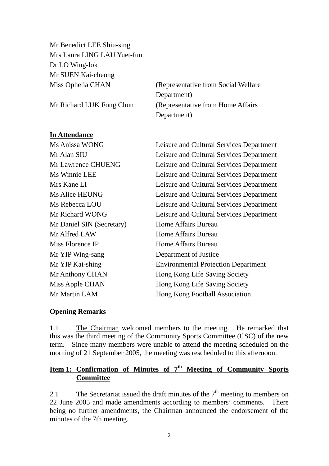Mr Benedict LEE Shiu-sing Mrs Laura LING LAU Yuet-fun Dr LO Wing-lok Mr SUEN Kai-cheong

Miss Ophelia CHAN (Representative from Social Welfare Department) Mr Richard LUK Fong Chun (Representative from Home Affairs) Department)

### **In Attendance**

Mr Daniel SIN (Secretary) Home Affairs Bureau Mr Alfred LAW Home Affairs Bureau Miss Florence IP Home Affairs Bureau Mr YIP Wing-sang Department of Justice

Ms Anissa WONG Leisure and Cultural Services Department Mr Alan SIU Leisure and Cultural Services Department Mr Lawrence CHUENG Leisure and Cultural Services Department Ms Winnie LEE Leisure and Cultural Services Department Mrs Kane LI Leisure and Cultural Services Department Ms Alice HEUNG Leisure and Cultural Services Department Ms Rebecca LOU Leisure and Cultural Services Department Mr Richard WONG Leisure and Cultural Services Department Mr YIP Kai-shing Environmental Protection Department Mr Anthony CHAN Hong Kong Life Saving Society Miss Apple CHAN Hong Kong Life Saving Society Mr Martin LAM Hong Kong Football Association

#### **Opening Remarks**

1.1 The Chairman welcomed members to the meeting. He remarked that this was the third meeting of the Community Sports Committee (CSC) of the new term. Since many members were unable to attend the meeting scheduled on the morning of 21 September 2005, the meeting was rescheduled to this afternoon.

# **Item 1: Confirmation of Minutes of 7th Meeting of Community Sports Committee**

2.1 The Secretariat issued the draft minutes of the  $7<sup>th</sup>$  meeting to members on 22 June 2005 and made amendments according to members' comments. There being no further amendments, the Chairman announced the endorsement of the minutes of the 7th meeting.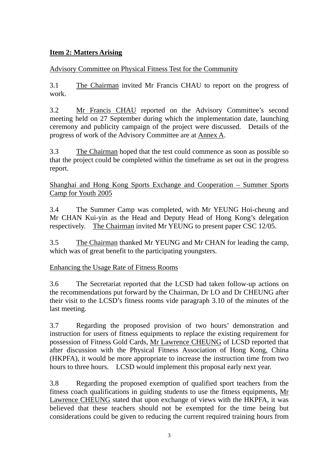# **Item 2: Matters Arising**

# Advisory Committee on Physical Fitness Test for the Community

3.1 The Chairman invited Mr Francis CHAU to report on the progress of work.

3.2 Mr Francis CHAU reported on the Advisory Committee's second meeting held on 27 September during which the implementation date, launching ceremony and publicity campaign of the project were discussed. Details of the progress of work of the Advisory Committee are at Annex A.

3.3 The Chairman hoped that the test could commence as soon as possible so that the project could be completed within the timeframe as set out in the progress report.

Shanghai and Hong Kong Sports Exchange and Cooperation – Summer Sports Camp for Youth 2005

3.4 The Summer Camp was completed, with Mr YEUNG Hoi-cheung and Mr CHAN Kui-yin as the Head and Deputy Head of Hong Kong's delegation respectively. The Chairman invited Mr YEUNG to present paper CSC 12/05.

3.5 The Chairman thanked Mr YEUNG and Mr CHAN for leading the camp, which was of great benefit to the participating youngsters.

Enhancing the Usage Rate of Fitness Rooms

3.6 The Secretariat reported that the LCSD had taken follow-up actions on the recommendations put forward by the Chairman, Dr LO and Dr CHEUNG after their visit to the LCSD's fitness rooms vide paragraph 3.10 of the minutes of the last meeting.

3.7 Regarding the proposed provision of two hours' demonstration and instruction for users of fitness equipments to replace the existing requirement for possession of Fitness Gold Cards, Mr Lawrence CHEUNG of LCSD reported that after discussion with the Physical Fitness Association of Hong Kong, China (HKPFA), it would be more appropriate to increase the instruction time from two hours to three hours. LCSD would implement this proposal early next year.

3.8 Regarding the proposed exemption of qualified sport teachers from the fitness coach qualifications in guiding students to use the fitness equipments, Mr Lawrence CHEUNG stated that upon exchange of views with the HKPFA, it was believed that these teachers should not be exempted for the time being but considerations could be given to reducing the current required training hours from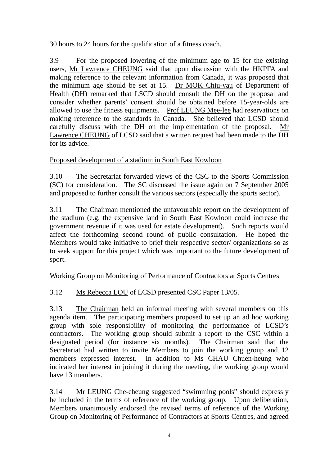30 hours to 24 hours for the qualification of a fitness coach.

3.9 For the proposed lowering of the minimum age to 15 for the existing users, Mr Lawrence CHEUNG said that upon discussion with the HKPFA and making reference to the relevant information from Canada, it was proposed that the minimum age should be set at 15. Dr MOK Chiu-yau of Department of Health (DH) remarked that LSCD should consult the DH on the proposal and consider whether parents' consent should be obtained before 15-year-olds are allowed to use the fitness equipments. Prof LEUNG Mee-lee had reservations on making reference to the standards in Canada. She believed that LCSD should carefully discuss with the DH on the implementation of the proposal. Mr Lawrence CHEUNG of LCSD said that a written request had been made to the DH for its advice.

Proposed development of a stadium in South East Kowloon

3.10 The Secretariat forwarded views of the CSC to the Sports Commission (SC) for consideration. The SC discussed the issue again on 7 September 2005 and proposed to further consult the various sectors (especially the sports sector).

3.11 The Chairman mentioned the unfavourable report on the development of the stadium (e.g. the expensive land in South East Kowloon could increase the government revenue if it was used for estate development). Such reports would affect the forthcoming second round of public consultation. He hoped the Members would take initiative to brief their respective sector/ organizations so as to seek support for this project which was important to the future development of sport.

# Working Group on Monitoring of Performance of Contractors at Sports Centres

# 3.12 Ms Rebecca LOU of LCSD presented CSC Paper 13/05.

3.13 The Chairman held an informal meeting with several members on this agenda item. The participating members proposed to set up an ad hoc working group with sole responsibility of monitoring the performance of LCSD's contractors. The working group should submit a report to the CSC within a designated period (for instance six months). The Chairman said that the Secretariat had written to invite Members to join the working group and 12 members expressed interest. In addition to Ms CHAU Chuen-heung who indicated her interest in joining it during the meeting, the working group would have 13 members.

3.14 Mr LEUNG Che-cheung suggested "swimming pools" should expressly be included in the terms of reference of the working group. Upon deliberation, Members unanimously endorsed the revised terms of reference of the Working Group on Monitoring of Performance of Contractors at Sports Centres, and agreed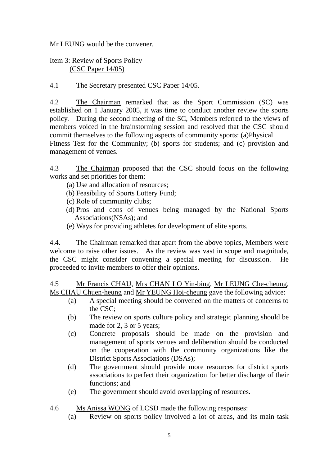Mr LEUNG would be the convener.

## Item 3: Review of Sports Policy (CSC Paper 14/05)

4.1 The Secretary presented CSC Paper 14/05.

4.2 The Chairman remarked that as the Sport Commission (SC) was established on 1 January 2005, it was time to conduct another review the sports policy. During the second meeting of the SC, Members referred to the views of members voiced in the brainstorming session and resolved that the CSC should commit themselves to the following aspects of community sports: (a)Physical Fitness Test for the Community; (b) sports for students; and (c) provision and management of venues.

4.3 The Chairman proposed that the CSC should focus on the following works and set priorities for them:

- (a) Use and allocation of resources;
- (b) Feasibility of Sports Lottery Fund;
- (c) Role of community clubs;
- (d) Pros and cons of venues being managed by the National Sports Associations(NSAs); and
- (e) Ways for providing athletes for development of elite sports.

4.4. The Chairman remarked that apart from the above topics, Members were welcome to raise other issues. As the review was vast in scope and magnitude, the CSC might consider convening a special meeting for discussion. He proceeded to invite members to offer their opinions.

4.5 Mr Francis CHAU, Mrs CHAN LO Yin-bing, Mr LEUNG Che-cheung, Ms CHAU Chuen-heung and Mr YEUNG Hoi-cheung gave the following advice:

- (a) A special meeting should be convened on the matters of concerns to the CSC;
- (b) The review on sports culture policy and strategic planning should be made for 2, 3 or 5 years;
- (c) Concrete proposals should be made on the provision and management of sports venues and deliberation should be conducted on the cooperation with the community organizations like the District Sports Associations (DSAs);
- (d) The government should provide more resources for district sports associations to perfect their organization for better discharge of their functions; and
- (e) The government should avoid overlapping of resources.
- 4.6 Ms Anissa WONG of LCSD made the following responses:
	- (a) Review on sports policy involved a lot of areas, and its main task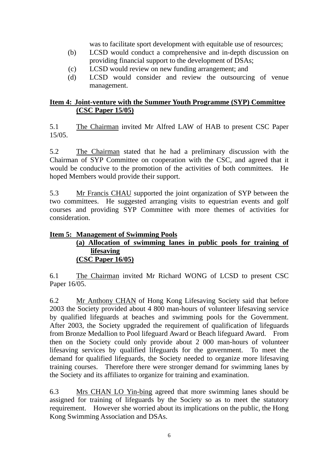was to facilitate sport development with equitable use of resources;

- (b) LCSD would conduct a comprehensive and in-depth discussion on providing financial support to the development of DSAs;
- (c) LCSD would review on new funding arrangement; and
- (d) LCSD would consider and review the outsourcing of venue management.

# **Item 4: Joint-venture with the Summer Youth Programme (SYP) Committee (CSC Paper 15/05)**

5.1 The Chairman invited Mr Alfred LAW of HAB to present CSC Paper 15/05.

5.2 The Chairman stated that he had a preliminary discussion with the Chairman of SYP Committee on cooperation with the CSC, and agreed that it would be conducive to the promotion of the activities of both committees. He hoped Members would provide their support.

5.3 Mr Francis CHAU supported the joint organization of SYP between the two committees. He suggested arranging visits to equestrian events and golf courses and providing SYP Committee with more themes of activities for consideration.

# **Item 5: Management of Swimming Pools**

### **(a) Allocation of swimming lanes in public pools for training of lifesaving (CSC Paper 16/05)**

6.1 The Chairman invited Mr Richard WONG of LCSD to present CSC Paper 16/05.

6.2 Mr Anthony CHAN of Hong Kong Lifesaving Society said that before 2003 the Society provided about 4 800 man-hours of volunteer lifesaving service by qualified lifeguards at beaches and swimming pools for the Government. After 2003, the Society upgraded the requirement of qualification of lifeguards from Bronze Medallion to Pool lifeguard Award or Beach lifeguard Award. From then on the Society could only provide about 2 000 man-hours of volunteer lifesaving services by qualified lifeguards for the government. To meet the demand for qualified lifeguards, the Society needed to organize more lifesaving training courses. Therefore there were stronger demand for swimming lanes by the Society and its affiliates to organize for training and examination.

6.3 Mrs CHAN LO Yin-bing agreed that more swimming lanes should be assigned for training of lifeguards by the Society so as to meet the statutory requirement. However she worried about its implications on the public, the Hong Kong Swimming Association and DSAs.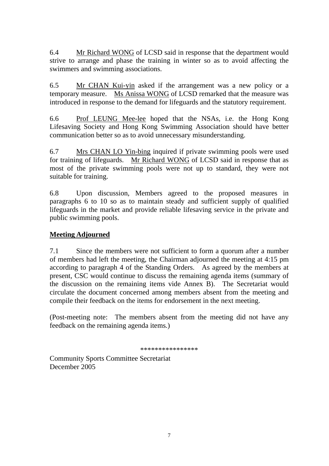6.4 Mr Richard WONG of LCSD said in response that the department would strive to arrange and phase the training in winter so as to avoid affecting the swimmers and swimming associations.

6.5 Mr CHAN Kui-yin asked if the arrangement was a new policy or a temporary measure. Ms Anissa WONG of LCSD remarked that the measure was introduced in response to the demand for lifeguards and the statutory requirement.

6.6 Prof LEUNG Mee-lee hoped that the NSAs, i.e. the Hong Kong Lifesaving Society and Hong Kong Swimming Association should have better communication better so as to avoid unnecessary misunderstanding.

6.7 Mrs CHAN LO Yin-bing inquired if private swimming pools were used for training of lifeguards. Mr Richard WONG of LCSD said in response that as most of the private swimming pools were not up to standard, they were not suitable for training.

6.8 Upon discussion, Members agreed to the proposed measures in paragraphs 6 to 10 so as to maintain steady and sufficient supply of qualified lifeguards in the market and provide reliable lifesaving service in the private and public swimming pools.

# **Meeting Adjourned**

7.1 Since the members were not sufficient to form a quorum after a number of members had left the meeting, the Chairman adjourned the meeting at 4:15 pm according to paragraph 4 of the Standing Orders. As agreed by the members at present, CSC would continue to discuss the remaining agenda items (summary of the discussion on the remaining items vide Annex B). The Secretariat would circulate the document concerned among members absent from the meeting and compile their feedback on the items for endorsement in the next meeting.

(Post-meeting note: The members absent from the meeting did not have any feedback on the remaining agenda items.)

\*\*\*\*\*\*\*\*\*\*\*\*\*\*\*\*

Community Sports Committee Secretariat December 2005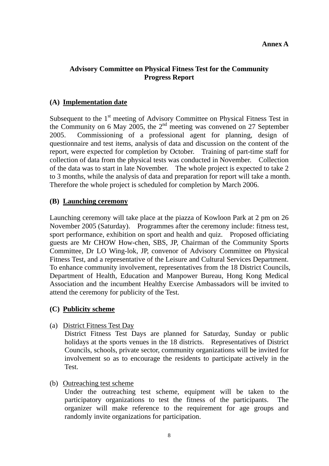### **Annex A**

# **Advisory Committee on Physical Fitness Test for the Community Progress Report**

### **(A) Implementation date**

Subsequent to the 1<sup>st</sup> meeting of Advisory Committee on Physical Fitness Test in the Community on 6 May 2005, the  $2<sup>nd</sup>$  meeting was convened on 27 September 2005. Commissioning of a professional agent for planning, design of questionnaire and test items, analysis of data and discussion on the content of the report, were expected for completion by October. Training of part-time staff for collection of data from the physical tests was conducted in November. Collection of the data was to start in late November. The whole project is expected to take 2 to 3 months, while the analysis of data and preparation for report will take a month. Therefore the whole project is scheduled for completion by March 2006.

### **(B) Launching ceremony**

Launching ceremony will take place at the piazza of Kowloon Park at 2 pm on 26 November 2005 (Saturday). Programmes after the ceremony include: fitness test, sport performance, exhibition on sport and health and quiz. Proposed officiating guests are Mr CHOW How-chen, SBS, JP, Chairman of the Community Sports Committee, Dr LO Wing-lok, JP, convenor of Advisory Committee on Physical Fitness Test, and a representative of the Leisure and Cultural Services Department. To enhance community involvement, representatives from the 18 District Councils, Department of Health, Education and Manpower Bureau, Hong Kong Medical Association and the incumbent Healthy Exercise Ambassadors will be invited to attend the ceremony for publicity of the Test.

### **(C) Publicity scheme**

(a) District Fitness Test Day

District Fitness Test Days are planned for Saturday, Sunday or public holidays at the sports venues in the 18 districts. Representatives of District Councils, schools, private sector, community organizations will be invited for involvement so as to encourage the residents to participate actively in the Test.

(b) Outreaching test scheme

Under the outreaching test scheme, equipment will be taken to the participatory organizations to test the fitness of the participants. The organizer will make reference to the requirement for age groups and randomly invite organizations for participation.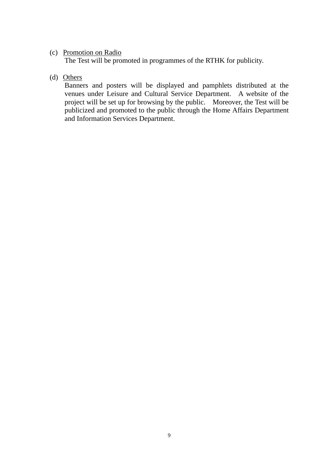## (c) Promotion on Radio

The Test will be promoted in programmes of the RTHK for publicity.

# (d) Others

Banners and posters will be displayed and pamphlets distributed at the venues under Leisure and Cultural Service Department. A website of the project will be set up for browsing by the public. Moreover, the Test will be publicized and promoted to the public through the Home Affairs Department and Information Services Department.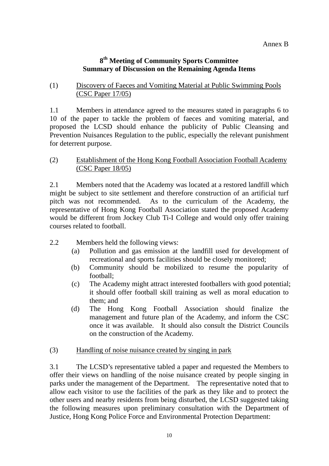# **8th Meeting of Community Sports Committee Summary of Discussion on the Remaining Agenda Items**

# (1) Discovery of Faeces and Vomiting Material at Public Swimming Pools (CSC Paper 17/05)

1.1 Members in attendance agreed to the measures stated in paragraphs 6 to 10 of the paper to tackle the problem of faeces and vomiting material, and proposed the LCSD should enhance the publicity of Public Cleansing and Prevention Nuisances Regulation to the public, especially the relevant punishment for deterrent purpose.

## (2) Establishment of the Hong Kong Football Association Football Academy (CSC Paper 18/05)

2.1 Members noted that the Academy was located at a restored landfill which might be subject to site settlement and therefore construction of an artificial turf pitch was not recommended. As to the curriculum of the Academy, the representative of Hong Kong Football Association stated the proposed Academy would be different from Jockey Club Ti-I College and would only offer training courses related to football.

- 2.2 Members held the following views:
	- (a) Pollution and gas emission at the landfill used for development of recreational and sports facilities should be closely monitored;
	- (b) Community should be mobilized to resume the popularity of football;
	- (c) The Academy might attract interested footballers with good potential; it should offer football skill training as well as moral education to them; and
	- (d) The Hong Kong Football Association should finalize the management and future plan of the Academy, and inform the CSC once it was available. It should also consult the District Councils on the construction of the Academy.
- (3) Handling of noise nuisance created by singing in park

3.1 The LCSD's representative tabled a paper and requested the Members to offer their views on handling of the noise nuisance created by people singing in parks under the management of the Department. The representative noted that to allow each visitor to use the facilities of the park as they like and to protect the other users and nearby residents from being disturbed, the LCSD suggested taking the following measures upon preliminary consultation with the Department of Justice, Hong Kong Police Force and Environmental Protection Department: